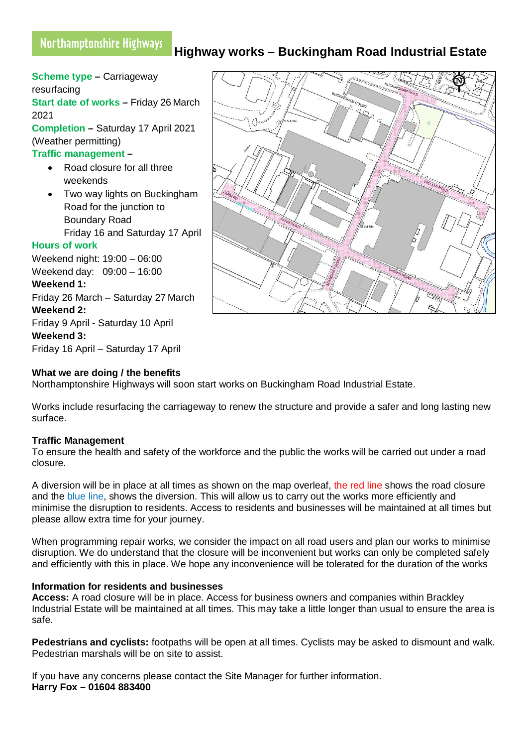# **Highway works – Buckingham Road Industrial Estate**

**Scheme type –** Carriageway resurfacing **Start date of works – Friday 26 March** 2021 **Completion –** Saturday 17 April 2021 (Weather permitting) **Traffic management –**  Road closure for all three weekends • Two way lights on Buckingham Road for the junction to Boundary Road Friday 16 and Saturday 17 April **Hours of work** Weekend night: 19:00 – 06:00 Weekend day: 09:00 – 16:00 **Weekend 1:** Friday 26 March – Saturday 27 March **Weekend 2:** Friday 9 April - Saturday 10 April **Weekend 3:**

Friday 16 April – Saturday 17 April

## **What we are doing / the benefits**

Northamptonshire Highways will soon start works on Buckingham Road Industrial Estate.

Works include resurfacing the carriageway to renew the structure and provide a safer and long lasting new surface.

## **Traffic Management**

To ensure the health and safety of the workforce and the public the works will be carried out under a road closure.

A diversion will be in place at all times as shown on the map overleaf, the red line shows the road closure and the blue line, shows the diversion. This will allow us to carry out the works more efficiently and minimise the disruption to residents. Access to residents and businesses will be maintained at all times but please allow extra time for your journey.

When programming repair works, we consider the impact on all road users and plan our works to minimise disruption. We do understand that the closure will be inconvenient but works can only be completed safely and efficiently with this in place. We hope any inconvenience will be tolerated for the duration of the works

#### **Information for residents and businesses**

**Access:** A road closure will be in place. Access for business owners and companies within Brackley Industrial Estate will be maintained at all times. This may take a little longer than usual to ensure the area is safe.

**Pedestrians and cyclists:** footpaths will be open at all times. Cyclists may be asked to dismount and walk. Pedestrian marshals will be on site to assist.

If you have any concerns please contact the Site Manager for further information. **Harry Fox – 01604 883400**